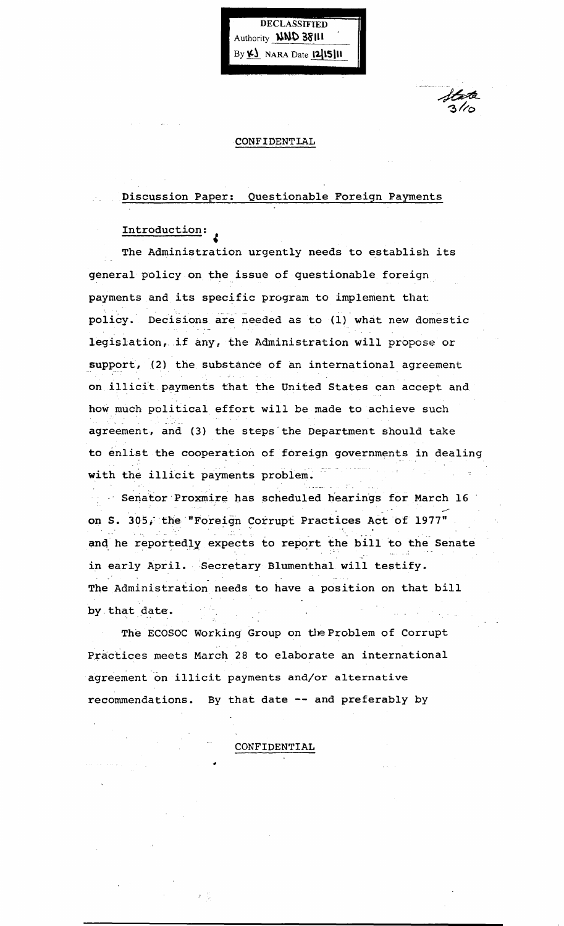Authority **llWC '38'1l1**  By **41** NARA Date **12**15111

DECLASSIFIED

#### CONFIDENTLAL

## Discussion Paper: Questionable Foreign Payments

# Introduction:

 $\ddot{\bullet}$ 

The Administration urgently needs to establish its general policy on the issue of questionable foreign payments and its specific program to implement that policy. Decisions are needed as to (1) what new domestic legislation, if any, the Administration will propose or support, (2) the substance of an international agreement on illicit payments that the United States can accept and how much political effort will be made to achieve such agreement, and (3) the steps the Department should take to enlist the cooperation of foreign governments in dealing with the illicit payments problem.

Senator Proxmire has scheduled hearings for March 16 on S. 305, the "Foreign Corrupt Practices Act of 1977" and he reportedly expects to report the bill to the Senate in early April. Secretary Blumenthal will testify. The Administration needs to have a position on that bill by that date.

The ECOSOC Working Group on the Problem of Corrupt Practices meets March 28 to elaborate an international agreement on illicit payments and/or alternative recommendations. By that date -- and preferably by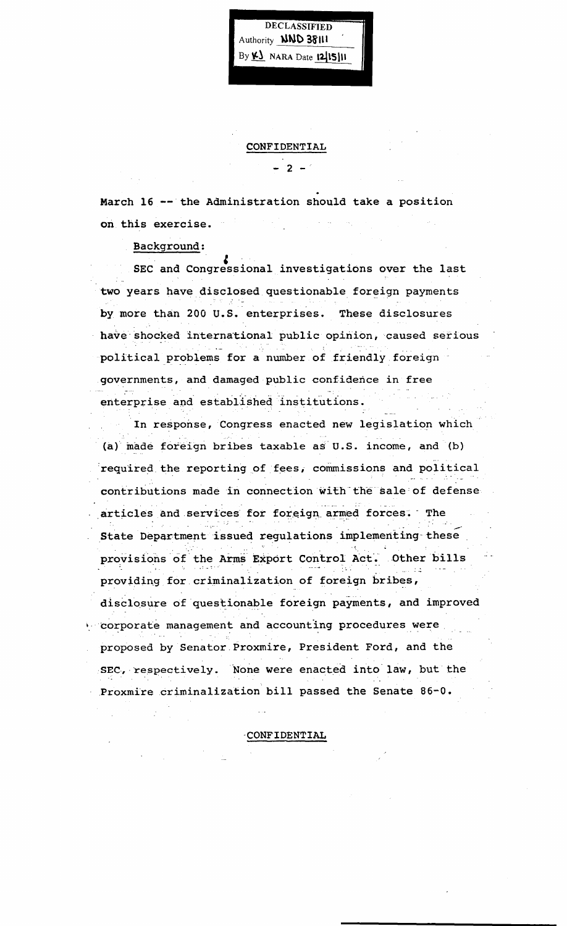DECLASSIFIED Authority **NND 38111** By K NARA Date 1215111

March 16 -- the Administration should take a position on this exercise.

CONFIDENTIAL

 $-2 =$ 

### Background:

SEC and Congressional investigations over the last two years have disclosed questionable foreign payments by more than 200 U.S. enterprises. These disclosures have shocked international public opinion, caused serious political problems for a number of friendly foreign governments, and damaged public confidence in free enterprise and established institutions.

In response, Congress enacted new legislation which (a) made foreign bribes taxable as U.S. income, and (b) required the reporting of fees, commissions and political contributions made in connection with the sale of defense articles and services for foreign armed forces. The State Department issued regulations implementing these provisions of the Arms Export Control Act. Other bills providing for criminalization of foreign bribes, disclosure of questionable foreign payments, and improved corporate management and accounting procedures were proposed by Senator Proxmire, President Ford, and the SEC, respectively. None were enacted into law, but the Proxmire criminalization bill passed the Senate 86-0.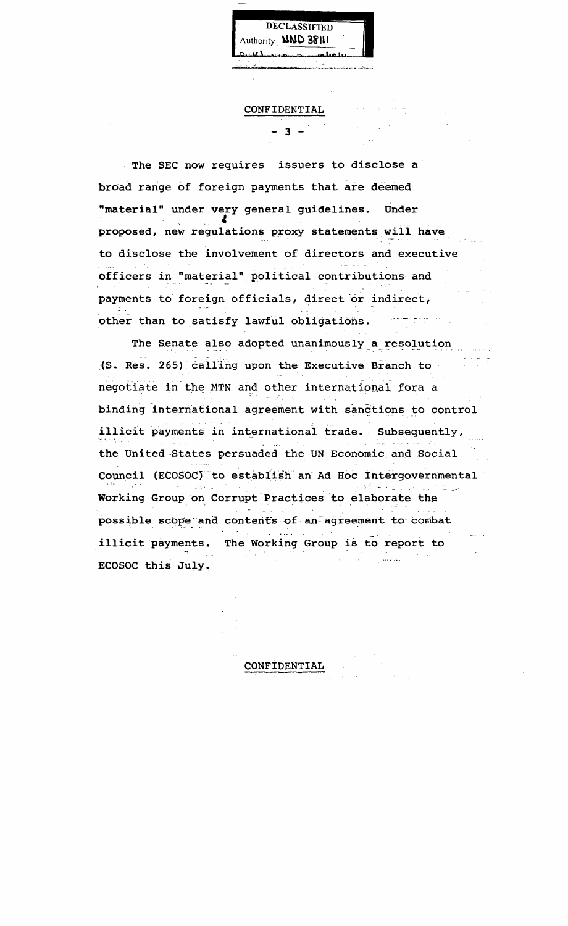Authority **NND 38111**  $M_{\rm{min}}$ 

DECLASSIFIED

CONFIDENTIAL

 $-2 -$ 

The SEC now requires issuers to disclose a broad range of foreign payments that are deemed "material" under very general guidelines. Under proposed, new regulations proxy statements will have to disclose the involvement of directors and executive officers in "material" political contributions and payments to foreign officials, direct or indirect, other than to satisfy lawful obligations.

The Senate also adopted unanimously a resolution (S. Res. 265) calling upon the Executive Branch to negotiate in the MTN and other international fora a binding international agreement with sanctions to control illicit payments in international trade. Subsequently, the United States persuaded the UN Economic and Social Council (ECOSOC) to establish an Ad Hoc Intergovernmental Working Group on Corrupt Practices to elaborate the possible scope and contents of an agreement to combat illicit payments. The Working Group is to report to التفاعيات ECOSOC this July.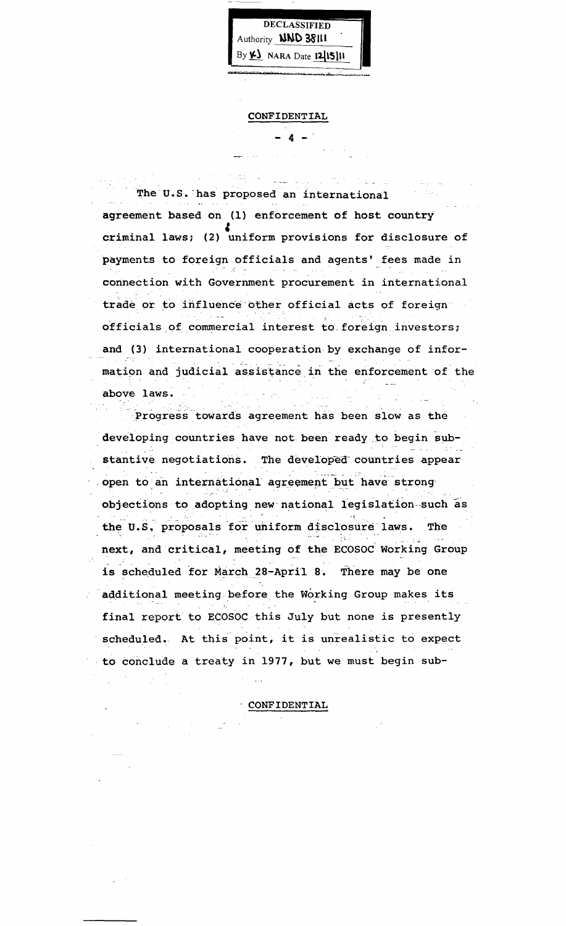DECLASSIFIED Authority **NND 38111** By K) NARA Date 12/15/11

CONFIDENTIAL

The U.S. has proposed an international agreement based on (1) enforcement of host country criminal laws; (2) uniform provisions for disclosure of payments to foreign officials and agents' fees made in connection with Government procurement in international trade or to influence other official acts of foreign officials of commercial interest to foreign investors; and (3) international cooperation by exchange of information and judicial assistance in the enforcement of the above laws.

Progress towards agreement has been slow as the developing countries have not been ready to begin substantive negotiations. The developed countries appear open to an international agreement but have strong objections to adopting new national legislation such as the U.S. proposals for uniform disclosure laws. The next, and critical, meeting of the ECOSOC Working Group is scheduled for March 28-April 8. There may be one additional meeting before the Working Group makes its final report to ECOSOC this July but none is presently scheduled. At this point, it is unrealistic to expect to conclude a treaty in 1977, but we must begin sub-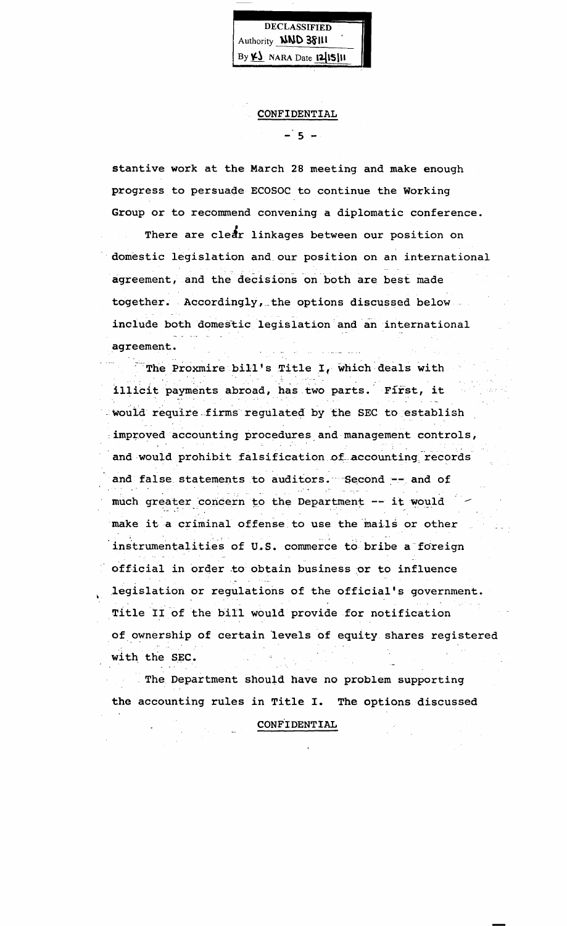DECLASSIFIED Authority **NND 38111** By  $\n *Y*$  NARA Date  $|2|15|11$ 

CONFIDENTIAL

 $-5 -$ 

stantive work at the March 28 meeting and make enough progress to persuade ECOSOC to continue the Working Group or to recommend convening a diplomatic conference. There are clear linkages between our position on . domestic legislation and\_our position on an international agreement, and the decisions on both are best made together. Accordingly, the options discussed below include both domestic legislation and an international agreement.

 $\overline{\phantom{a}}$  The Proxmire bill's Title I, which deals with illicit payments abroad, has two parts. First, it would require firms regulated by the SEC to establish improved accounting procedures and management controls, and would prohibit falsification of accounting records and false statements to auditors. Second -- and of much greater concern to the Department -- it would make it a criminal offense to use the mails or other instrumentalities of U.S. commerce to bribe a foreign official in order to obtain business or to influence legislation or regulations of the official's government. Title II of the bill would provide for notification of ownership of certain levels of equity shares registered with the SEC.

The Department should have no problem supporting the accounting rules in Title I. The options discussed

CONFtOENTIAL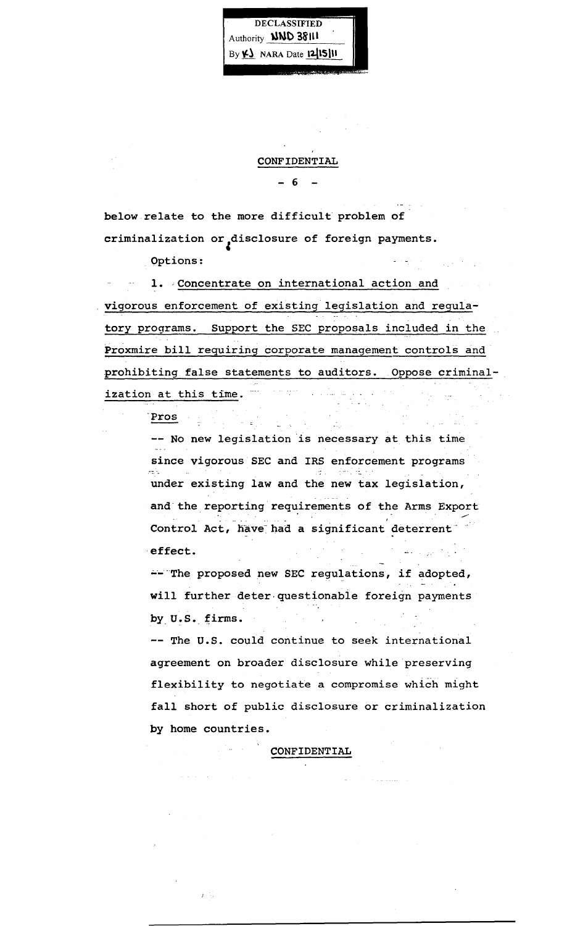

#### CONFIDENTIAL

- 6

below relate to the more difficult problem of criminalization or disclosure of foreign payments.

Options:

1. Concentrate on international action and vigorous enforcement of existing legislation and regulatory programs. Support the SEC proposals included in the Proxmire bill requiring corporate management controls and prohibiting false statements to auditors. Oppose criminalization at this time.  $-$ 

Pros

-- No new legislation is necessary at this time since vigorous SEC and IRS enforcement programs under existing law and the new tax legislation, and' the reporting requirements 6f the Arms Export Control Act, have had a significant deterrent 'effect.

-- The proposed new SEC regulations, if adopted, will further deter questionable foreign payments by U.S. firms.

-- The U.S. could continue to seek international agreement on broader disclosure while preserving flexibility to negotiate a compromise which might fall short of public disclosure or criminalization by home countries.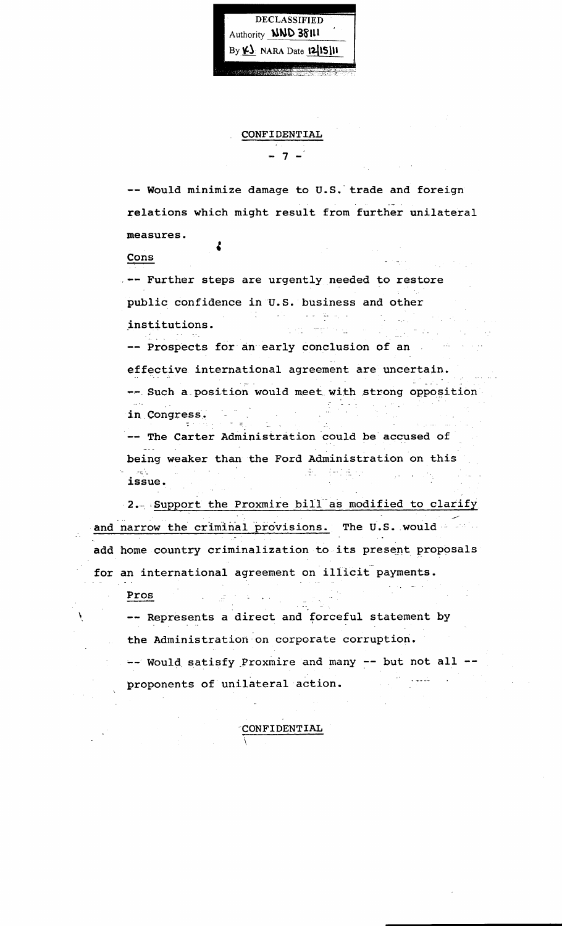DECLASSIFIED Authority **NND 38111**  $By  $\angle B$  NARA Date 1215111$ 

#### CONFIDENTIAL

- 7 -

-- Would minimize damage to U.S.' trade and foreign relations which might result from further unilateral measures. ł

Cons

-- Further steps are urgently needed to restore public confidence in U.S. business and other  $\label{eq:2} \mathbb{E}[\mathbb{E}[\mathbb{E}^{\mathbb{E}}] \otimes \mathbb{E}^{\mathbb{E}}_{\mathbb{E}^{\mathbb{E}}_{\mathbb{E}^{\mathbb{E}}_{\mathbb{E}^{\mathbb{E}}_{\mathbb{E}^{\mathbb{E}}_{\mathbb{E}^{\mathbb{E}}_{\mathbb{E}^{\mathbb{E}}_{\mathbb{E}^{\mathbb{E}}_{\mathbb{E}^{\mathbb{E}}_{\mathbb{E}^{\mathbb{E}}_{\mathbb{E}^{\mathbb{E}}_{\mathbb{E}^{\mathbb{E}}_{\mathbb{E}^{\mathbb{E}}_{\math$ ÷. المكفات

institutions.

-- Prospects for an early conclusion of an effective international agreement are uncertain.

-- Such a position would meet with strong opposition  $\mathbb{R}$  , which is in, Congress'. a series.<br>Portugales  $\mathbb{Z}$  . エコー

The Carter Administration could be accused of being weaker than the Ford Administration on this issue.  $\sim 10^{11}$  km s  $^{-1}$  $\sqrt{s}$  ,  $\sim$   $\sqrt{s}$ 

2. Support the Proxmire bill as modified to clarify and narrow the criminal provisions. The U.S. would - ... add home country criminalization to its present proposals for an international agreement on illicit payments.

Pros

X

-- Represents a direct and forceful statement by the Administration on corporate corruption.

'CONFIDENTIAL

-- Would satisfy Proxmire and many -- but not all --الأستفاء الما proponents of unilateral action.  $\sim 10^{-11}$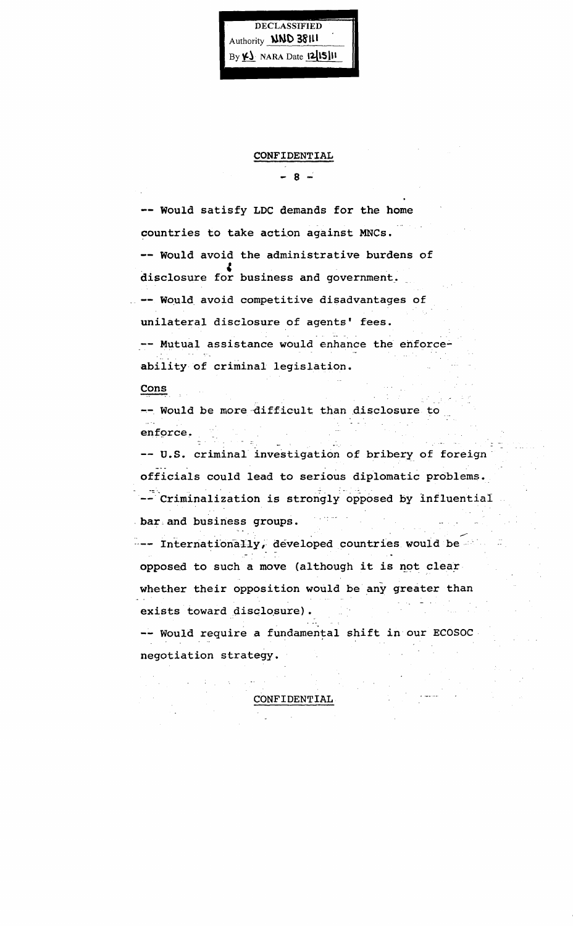**DECLASSIFIED** Authority **NND 38111**  $By \n\mathsf{K}$  NARA Date  $[2]$ 15] $\mathsf{H}$ 

CONFIDENTIAL

 $-8 -$ 

-- Would satisfy LDC demands for the home countries to take action against MNCs. -- Would avoid the administrative burdens of disclosure for business and government. -- Would avoid competitive disadvantages of unilateral disclosure of agents' fees. -- Mutual assistance would enhance the enforceability of criminal legislation.  $\frac{\text{Cons}}{\text{Cons}}$ -- Would be more difficult than disclosure to enforce. -- U.S. criminal investigation of bribery of foreign officials could lead to serious diplomatic problems. -- Criminalization is strongly opposed by influential bar and business groups. --- Internationally, developed countries would be opposed to such a move (although it is not clear whether their opposition would be any greater than exists toward disclosure). -- Would require a fundamental shift in our ECOSOC negotiation strategy.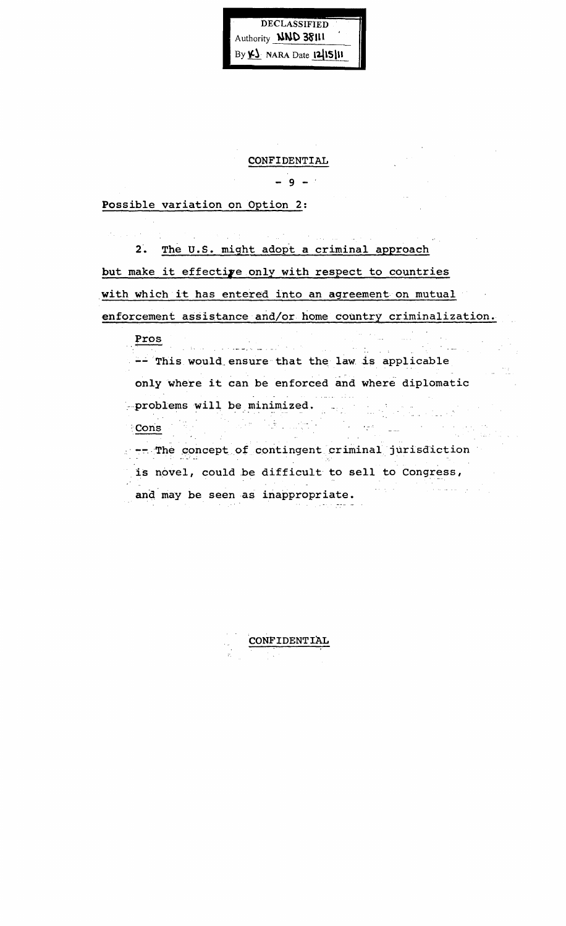DECLASSIFIED Authority **NND 38111** By K) NARA Date 12/15/11

#### CONFIDENTIAL

 $-9 - 1$ 

Possible variation on Option 2:

2. The U.S. might adopt a criminal approach but make it effective only with respect to countries with which it has entered into an agreement on mutual enforcement assistance and/or home country criminalization.

Pros المحادث والمتعارض والمستقلة والمنادر  $\sim 10^{-11}$  $\sim$   $\sim$ -- This would ensure that the law is applicable only where it can be enforced and where diplomatic in Diam -problems will be minimized. , mali a No  $\bar{\mathcal{A}}$ Cons . -- The concept of contingent criminal jurisdiction is novel, could be difficult to sell to Congress,  $\hat{\varphi}$  is seen as  $\hat{\varphi}$  and  $\hat{\varphi}$  $\omega_{\rm{eff}}=10^{10}$  km s  $^{-1}$ and may be seen as inappropriate.

CONFIDENTIAL in Town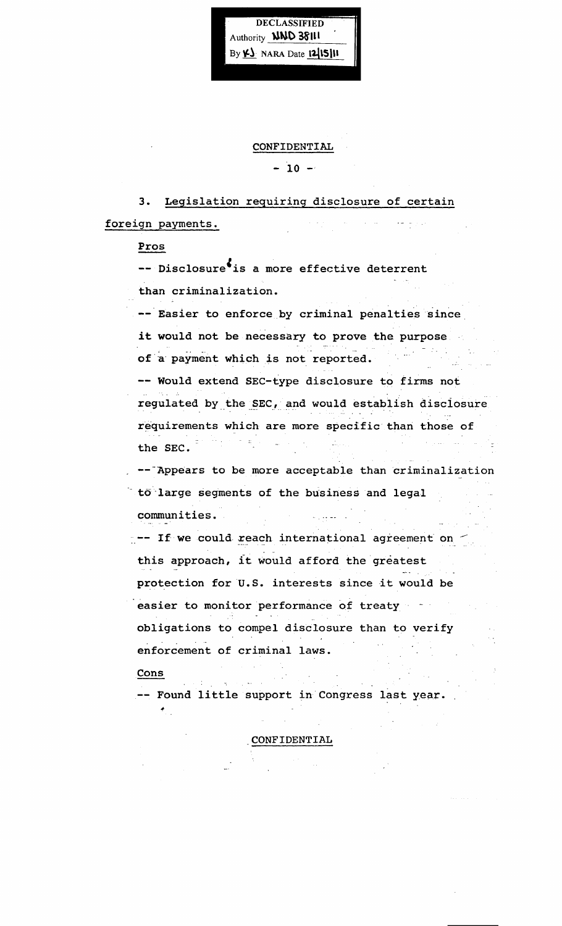Authority **NND 38111** By  $\underline{\mathsf{Y}}$  NARA Date  $12|15|11$ 

**DECLASSIFIED** 

CONFIDENTIAL

 $-10 -$ 

3. Legislation requiring disclosure of certain foreign payments. برواني المتحاد

Pros

-- Disclosure<sup>\$</sup> is a more effective deterrent than criminalization.

-- Easier to enforce by criminal penalties since it would not be necessary to prove the purpose  $\label{eq:3.1} \frac{1}{2}\sum_{i=1}^n\frac{1}{2\pi i}\sum_{i=1}^n\frac{1}{2\pi i}\sum_{i=1}^n\frac{1}{2\pi i}\sum_{i=1}^n\frac{1}{2\pi i}\sum_{i=1}^n\frac{1}{2\pi i}\sum_{i=1}^n\frac{1}{2\pi i}\sum_{i=1}^n\frac{1}{2\pi i}\sum_{i=1}^n\frac{1}{2\pi i}\sum_{i=1}^n\frac{1}{2\pi i}\sum_{i=1}^n\frac{1}{2\pi i}\sum_{i=1}^n\frac{1}{2\pi i}\sum_{i=1}$ 

of a payment which is not reported.

-- Would extend SEC-type disclosure to firms not regulated by the SEC, and would establish disclosure requirements which are more specific than those of the SEC. الراعيل المتحدثان

-- Appears to be more acceptable than criminalization to large segments of the business and legal

communities •

 $\sim$  -- If we could reach international agreement on  $\le$ this approach, it would afford the greatest protection for U.S. interests since it would be

easier to monitor performance of treaty obligations to compel disclosure than to verify  $\sim 10^{-11}$ enforcement of criminal laws.

Cons

 $\mathcal{F}_{\mu\nu\rho}$ 

Found little support in Congress last y.ear. .